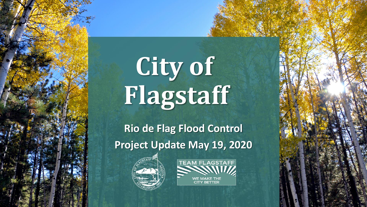# City of **Flagstaff**

**Rio de Flag Flood Control Project Update May 19, 2020** 



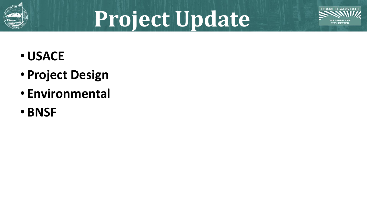

## **Project Update**



- •**USACE**
- **Project Design**
- **Environmental**
- **BNSF**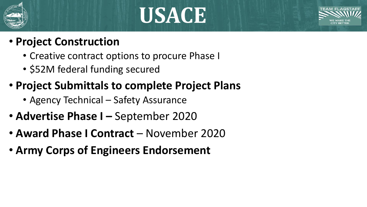

### **USACE**



- **Project Construction**
	- Creative contract options to procure Phase I
	- \$52M federal funding secured
- **Project Submittals to complete Project Plans**
	- Agency Technical Safety Assurance
- **Advertise Phase I –** September 2020
- **Award Phase I Contract**  November 2020
- **Army Corps of Engineers Endorsement**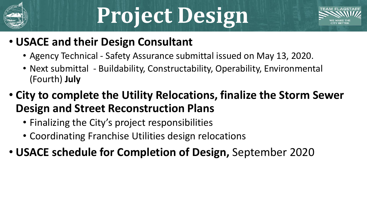

## **Project Design**



#### • **USACE and their Design Consultant**

- Agency Technical Safety Assurance submittal issued on May 13, 2020.
- Next submittal Buildability, Constructability, Operability, Environmental (Fourth) **July**
- **City to complete the Utility Relocations, finalize the Storm Sewer Design and Street Reconstruction Plans**
	- Finalizing the City's project responsibilities
	- Coordinating Franchise Utilities design relocations
- **USACE schedule for Completion of Design,** September 2020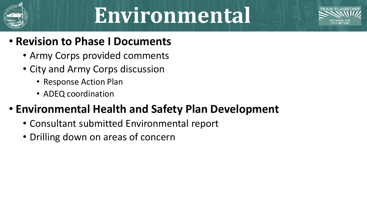

### **Environmental**



#### • **Revision to Phase I Documents**

- Army Corps provided comments
- City and Army Corps discussion
	- Response Action Plan
	- ADEQ coordination

#### • **Environmental Health and Safety Plan Development**

- Consultant submitted Environmental report
- Drilling down on areas of concern